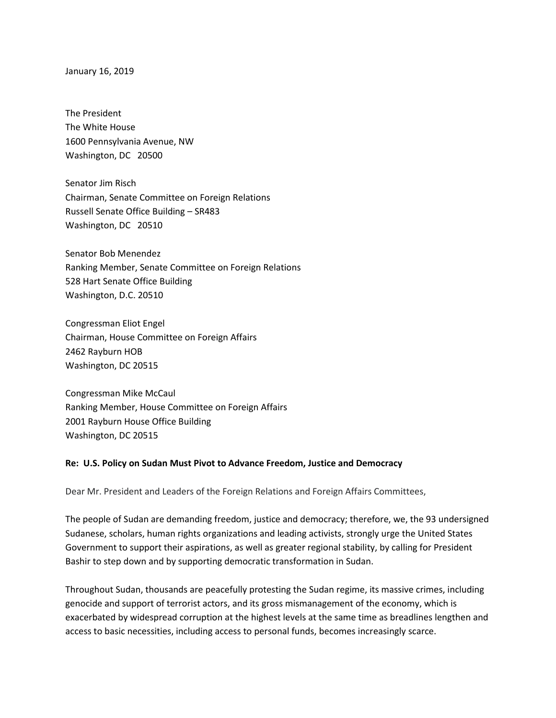January 16, 2019

The President The White House 1600 Pennsylvania Avenue, NW Washington, DC 20500

Senator Jim Risch Chairman, Senate Committee on Foreign Relations Russell Senate Office Building – SR483 Washington, DC 20510

Senator Bob Menendez Ranking Member, Senate Committee on Foreign Relations 528 Hart Senate Office Building Washington, D.C. 20510

Congressman Eliot Engel Chairman, House Committee on Foreign Affairs 2462 Rayburn HOB Washington, DC 20515

Congressman Mike McCaul Ranking Member, House Committee on Foreign Affairs 2001 Rayburn House Office Building Washington, DC 20515

## **Re: U.S. Policy on Sudan Must Pivot to Advance Freedom, Justice and Democracy**

Dear Mr. President and Leaders of the Foreign Relations and Foreign Affairs Committees,

The people of Sudan are demanding freedom, justice and democracy; therefore, we, the 93 undersigned Sudanese, scholars, human rights organizations and leading activists, strongly urge the United States Government to support their aspirations, as well as greater regional stability, by calling for President Bashir to step down and by supporting democratic transformation in Sudan.

Throughout Sudan, thousands are peacefully protesting the Sudan regime, its massive crimes, including genocide and support of terrorist actors, and its gross mismanagement of the economy, which is exacerbated by widespread corruption at the highest levels at the same time as breadlines lengthen and access to basic necessities, including access to personal funds, becomes increasingly scarce.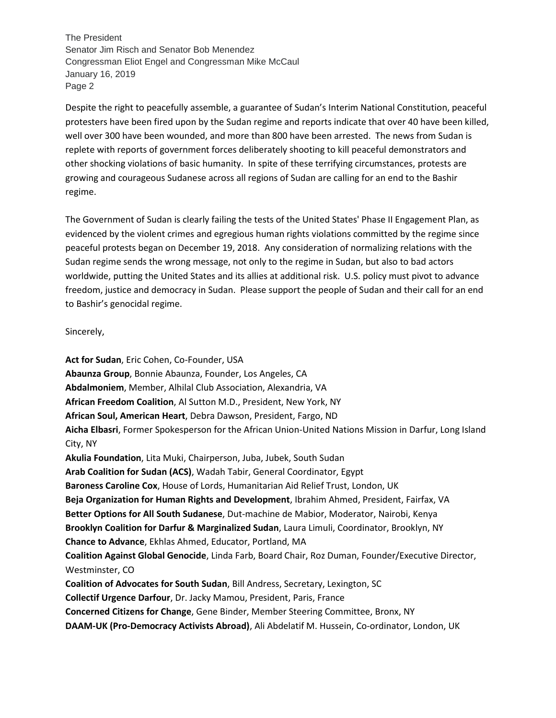Despite the right to peacefully assemble, a guarantee of Sudan's Interim National Constitution, peaceful protesters have been fired upon by the Sudan regime and reports indicate that over 40 have been killed, well over 300 have been wounded, and more than 800 have been arrested. The news from Sudan is replete with reports of government forces deliberately shooting to kill peaceful demonstrators and other shocking violations of basic humanity. In spite of these terrifying circumstances, protests are growing and courageous Sudanese across all regions of Sudan are calling for an end to the Bashir regime.

The Government of Sudan is clearly failing the tests of the United States' Phase II Engagement Plan, as evidenced by the violent crimes and egregious human rights violations committed by the regime since peaceful protests began on December 19, 2018. Any consideration of normalizing relations with the Sudan regime sends the wrong message, not only to the regime in Sudan, but also to bad actors worldwide, putting the United States and its allies at additional risk. U.S. policy must pivot to advance freedom, justice and democracy in Sudan. Please support the people of Sudan and their call for an end to Bashir's genocidal regime.

## Sincerely,

**Act for Sudan**, Eric Cohen, Co-Founder, USA **Abaunza Group**, Bonnie Abaunza, Founder, Los Angeles, CA **Abdalmoniem**, Member, Alhilal Club Association, Alexandria, VA **African Freedom Coalition**, Al Sutton M.D., President, New York, NY **African Soul, American Heart**, Debra Dawson, President, Fargo, ND **Aicha Elbasri**, Former Spokesperson for the African Union-United Nations Mission in Darfur, Long Island City, NY **Akulia Foundation**, Lita Muki, Chairperson, Juba, Jubek, South Sudan **Arab Coalition for Sudan (ACS)**, Wadah Tabir, General Coordinator, Egypt **Baroness Caroline Cox**, House of Lords, Humanitarian Aid Relief Trust, London, UK **Beja Organization for Human Rights and Development**, Ibrahim Ahmed, President, Fairfax, VA **Better Options for All South Sudanese**, Dut-machine de Mabior, Moderator, Nairobi, Kenya **Brooklyn Coalition for Darfur & Marginalized Sudan**, Laura Limuli, Coordinator, Brooklyn, NY **Chance to Advance**, Ekhlas Ahmed, Educator, Portland, MA **Coalition Against Global Genocide**, Linda Farb, Board Chair, Roz Duman, Founder/Executive Director, Westminster, CO **Coalition of Advocates for South Sudan**, Bill Andress, Secretary, Lexington, SC **Collectif Urgence Darfour**, Dr. Jacky Mamou, President, Paris, France **Concerned Citizens for Change**, Gene Binder, Member Steering Committee, Bronx, NY **DAAM-UK (Pro-Democracy Activists Abroad)**, Ali Abdelatif M. Hussein, Co-ordinator, London, UK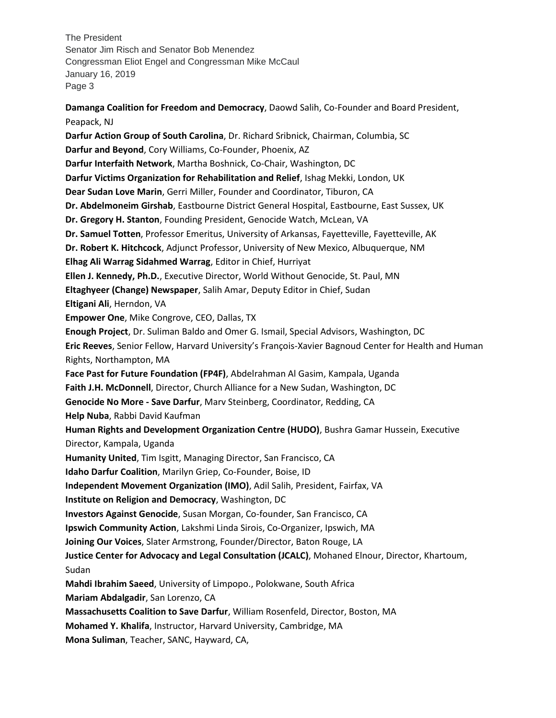**Damanga Coalition for Freedom and Democracy**, Daowd Salih, Co-Founder and Board President, Peapack, NJ **Darfur Action Group of South Carolina**, Dr. Richard Sribnick, Chairman, Columbia, SC **Darfur and Beyond**, Cory Williams, Co-Founder, Phoenix, AZ **Darfur Interfaith Network**, Martha Boshnick, Co-Chair, Washington, DC **Darfur Victims Organization for Rehabilitation and Relief**, Ishag Mekki, London, UK **Dear Sudan Love Marin**, Gerri Miller, Founder and Coordinator, Tiburon, CA **Dr. Abdelmoneim Girshab**, Eastbourne District General Hospital, Eastbourne, East Sussex, UK **Dr. Gregory H. Stanton**, Founding President, Genocide Watch, McLean, VA **Dr. Samuel Totten**, Professor Emeritus, University of Arkansas, Fayetteville, Fayetteville, AK **Dr. Robert K. Hitchcock**, Adjunct Professor, University of New Mexico, Albuquerque, NM **Elhag Ali Warrag Sidahmed Warrag**, Editor in Chief, Hurriyat **Ellen J. Kennedy, Ph.D.**, Executive Director, World Without Genocide, St. Paul, MN **Eltaghyeer (Change) Newspaper**, Salih Amar, Deputy Editor in Chief, Sudan **Eltigani Ali**, Herndon, VA **Empower One**, Mike Congrove, CEO, Dallas, TX **Enough Project**, Dr. Suliman Baldo and Omer G. Ismail, Special Advisors, Washington, DC **Eric Reeves**, Senior Fellow, Harvard University's François-Xavier Bagnoud Center for Health and Human Rights, Northampton, MA **Face Past for Future Foundation (FP4F)**, Abdelrahman Al Gasim, Kampala, Uganda **Faith J.H. McDonnell**, Director, Church Alliance for a New Sudan, Washington, DC **Genocide No More - Save Darfur**, Marv Steinberg, Coordinator, Redding, CA **Help Nuba**, Rabbi David Kaufman **Human Rights and Development Organization Centre (HUDO)**, Bushra Gamar Hussein, Executive Director, Kampala, Uganda **Humanity United**, Tim Isgitt, Managing Director, San Francisco, CA **Idaho Darfur Coalition**, Marilyn Griep, Co-Founder, Boise, ID **Independent Movement Organization (IMO)**, Adil Salih, President, Fairfax, VA **Institute on Religion and Democracy**, Washington, DC **Investors Against Genocide**, Susan Morgan, Co-founder, San Francisco, CA **Ipswich Community Action**, Lakshmi Linda Sirois, Co-Organizer, Ipswich, MA **Joining Our Voices**, Slater Armstrong, Founder/Director, Baton Rouge, LA **Justice Center for Advocacy and Legal Consultation (JCALC)**, Mohaned Elnour, Director, Khartoum, Sudan **Mahdi Ibrahim Saeed**, University of Limpopo., Polokwane, South Africa **Mariam Abdalgadir**, San Lorenzo, CA **Massachusetts Coalition to Save Darfur**, William Rosenfeld, Director, Boston, MA **Mohamed Y. Khalifa**, Instructor, Harvard University, Cambridge, MA **Mona Suliman**, Teacher, SANC, Hayward, CA,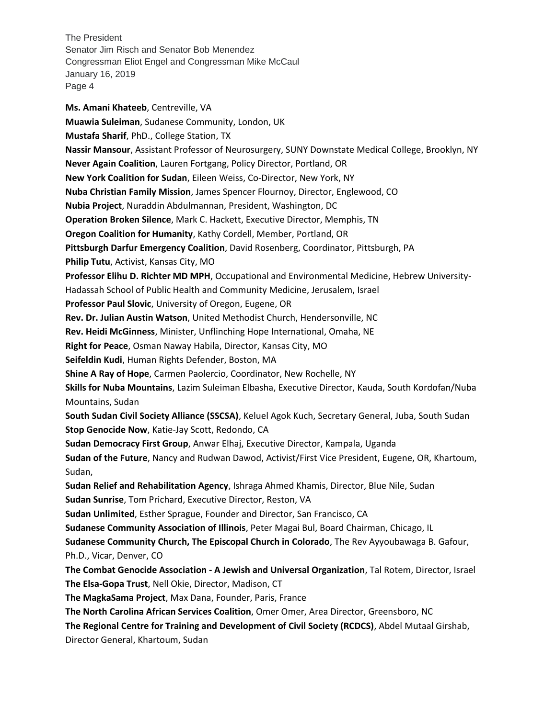**Ms. Amani Khateeb**, Centreville, VA **Muawia Suleiman**, Sudanese Community, London, UK **Mustafa Sharif**, PhD., College Station, TX **Nassir Mansour**, Assistant Professor of Neurosurgery, SUNY Downstate Medical College, Brooklyn, NY **Never Again Coalition**, Lauren Fortgang, Policy Director, Portland, OR **New York Coalition for Sudan**, Eileen Weiss, Co-Director, New York, NY **Nuba Christian Family Mission**, James Spencer Flournoy, Director, Englewood, CO **Nubia Project**, Nuraddin Abdulmannan, President, Washington, DC **Operation Broken Silence**, Mark C. Hackett, Executive Director, Memphis, TN **Oregon Coalition for Humanity**, Kathy Cordell, Member, Portland, OR **Pittsburgh Darfur Emergency Coalition**, David Rosenberg, Coordinator, Pittsburgh, PA **Philip Tutu**, Activist, Kansas City, MO **Professor Elihu D. Richter MD MPH**, Occupational and Environmental Medicine, Hebrew University-Hadassah School of Public Health and Community Medicine, Jerusalem, Israel **Professor Paul Slovic**, University of Oregon, Eugene, OR **Rev. Dr. Julian Austin Watson**, United Methodist Church, Hendersonville, NC **Rev. Heidi McGinness**, Minister, Unflinching Hope International, Omaha, NE **Right for Peace**, Osman Naway Habila, Director, Kansas City, MO **Seifeldin Kudi**, Human Rights Defender, Boston, MA **Shine A Ray of Hope**, Carmen Paolercio, Coordinator, New Rochelle, NY **Skills for Nuba Mountains**, Lazim Suleiman Elbasha, Executive Director, Kauda, South Kordofan/Nuba Mountains, Sudan **South Sudan Civil Society Alliance (SSCSA)**, Keluel Agok Kuch, Secretary General, Juba, South Sudan **Stop Genocide Now**, Katie-Jay Scott, Redondo, CA **Sudan Democracy First Group**, Anwar Elhaj, Executive Director, Kampala, Uganda **Sudan of the Future**, Nancy and Rudwan Dawod, Activist/First Vice President, Eugene, OR, Khartoum, Sudan, **Sudan Relief and Rehabilitation Agency**, Ishraga Ahmed Khamis, Director, Blue Nile, Sudan **Sudan Sunrise**, Tom Prichard, Executive Director, Reston, VA **Sudan Unlimited**, Esther Sprague, Founder and Director, San Francisco, CA **Sudanese Community Association of Illinois**, Peter Magai Bul, Board Chairman, Chicago, IL **Sudanese Community Church, The Episcopal Church in Colorado**, The Rev Ayyoubawaga B. Gafour, Ph.D., Vicar, Denver, CO **The Combat Genocide Association - A Jewish and Universal Organization**, Tal Rotem, Director, Israel **The Elsa-Gopa Trust**, Nell Okie, Director, Madison, CT **The MagkaSama Project**, Max Dana, Founder, Paris, France **The North Carolina African Services Coalition**, Omer Omer, Area Director, Greensboro, NC **The Regional Centre for Training and Development of Civil Society (RCDCS)**, Abdel Mutaal Girshab, Director General, Khartoum, Sudan